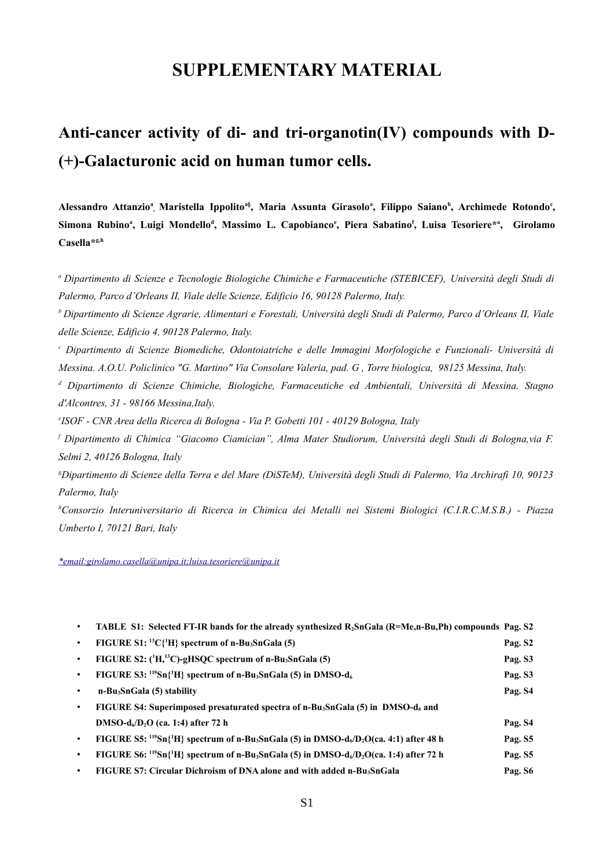## **SUPPLEMENTARY MATERIAL**

## **Anti-cancer activity of di- and tri-organotin(IV) compounds with D- (+)-Galacturonic acid on human tumor cells.**

**Alessandro Attanzio<sup>a</sup> , Maristella Ippolitoa§ , Maria Assunta Girasolo<sup>a</sup> , Filippo Saiano<sup>b</sup> , Archimede Rotondo<sup>c</sup> , Simona Rubino<sup>a</sup> , Luigi Mondello<sup>d</sup> , Massimo L. Capobianco<sup>e</sup> , Piera Sabatino<sup>f</sup> , Luisa Tesoriere\*<sup>a</sup> , Girolamo Casella\*g,h**

*<sup>a</sup>Dipartimento di Scienze e Tecnologie Biologiche Chimiche e Farmaceutiche (STEBICEF), Università degli Studi di Palermo, Parco d'Orleans II, Viale delle Scienze, Edificio 16, 90128 Palermo, Italy.*

*<sup>b</sup>Dipartimento di Scienze Agrarie, Alimentari e Forestali, Università degli Studi di Palermo, Parco d'Orleans II, Viale delle Scienze, Edificio 4, 90128 Palermo, Italy.*

*c Dipartimento di Scienze Biomediche, Odontoiatriche e delle Immagini Morfologiche e Funzionali- Università di Messina. A.O.U. Policlinico "G. Martino" Via Consolare Valeria, pad. G , Torre biologica, 98125 Messina, Italy.*

*d Dipartimento di Scienze Chimiche, Biologiche, Farmaceutiche ed Ambientali, Università di Messina. Stagno d'Alcontres, 31 - 98166 Messina,Italy.*

*e ISOF - CNR Area della Ricerca di Bologna - Via P. Gobetti 101 - 40129 Bologna, Italy*

*f Dipartimento di Chimica "Giacomo Ciamician", Alma Mater Studiorum, Università degli Studi di Bologna,via F. Selmi 2, 40126 Bologna, Italy*

*<sup>g</sup>Dipartimento di Scienze della Terra e del Mare (DiSTeM), Università degli Studi di Palermo, Via Archirafi 10, 90123 Palermo, Italy*

*<sup>h</sup>Consorzio Interuniversitario di Ricerca in Chimica dei Metalli nei Sistemi Biologici (C.I.R.C.M.S.B.) - Piazza Umberto I, 70121 Bari, Italy*

*\*email:girolamo.casella@unipa.it;luisa.tesoriere@unipa.it*

|           | TABLE S1: Selected FT-IR bands for the already synthesized $R_2SnGala$ (R=Me,n-Bu,Ph) compounds Pag. S2                                             |                     |
|-----------|-----------------------------------------------------------------------------------------------------------------------------------------------------|---------------------|
|           | FIGURE $S1$ : <sup>13</sup> C{ <sup>1</sup> H} spectrum of n-Bu <sub>3</sub> SnGala (5)                                                             | Pag. S <sub>2</sub> |
|           | FIGURE S2: ( <sup>1</sup> H, <sup>13</sup> C)-gHSQC spectrum of n-Bu <sub>3</sub> SnGala (5)                                                        | Pag. S3             |
|           | FIGURE S3: $^{119}Sn{^1H}$ spectrum of n-Bu <sub>3</sub> SnGala (5) in DMSO-d <sub>6</sub>                                                          | Pag. S3             |
|           | n-Bu <sub>3</sub> SnGala (5) stability                                                                                                              | Pag. S4             |
| ٠         | FIGURE S4: Superimposed presaturated spectra of n-Bu <sub>3</sub> SnGala (5) in DMSO-d <sub>6</sub> and                                             |                     |
|           | $DMSO-d6/D2O$ (ca. 1:4) after 72 h                                                                                                                  | Pag. S4             |
| $\bullet$ | FIGURE S5: <sup>119</sup> Sn{ <sup>1</sup> H} spectrum of n-Bu <sub>3</sub> SnGala (5) in DMSO-d <sub>6</sub> /D <sub>2</sub> O(ca. 4:1) after 48 h | Pag. S5             |
| ٠         | FIGURE S6: $^{119}Sn{^1H}$ spectrum of n-Bu <sub>3</sub> SnGala (5) in DMSO-d <sub>6</sub> /D <sub>2</sub> O(ca. 1:4) after 72 h                    | Pag. S5             |
|           | FIGURE S7: Circular Dichroism of DNA alone and with added n-Bu <sub>3</sub> SnGala                                                                  | Pag. S6             |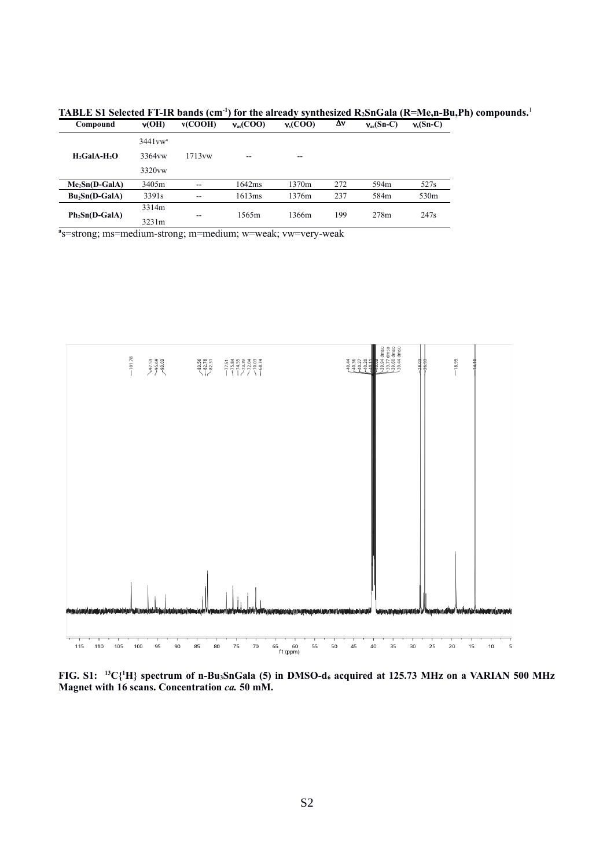| Compound                   | v(OH)              | v(COOH) | $v_{\rm as}({\rm COO})$ | $v_s(COO)$ | Δν  | $v_{\rm as}(\rm Sn-C)$ | $v_s(Sn-C)$      |
|----------------------------|--------------------|---------|-------------------------|------------|-----|------------------------|------------------|
|                            | $3441vw^a$         | 1713vw  | --                      | $- -$      |     |                        |                  |
| $H2$ GalA-H <sub>2</sub> O | 3364 <sub>vw</sub> |         |                         |            |     |                        |                  |
|                            | 3320 <sub>vw</sub> |         |                         |            |     |                        |                  |
| $Me2Sn(D-GaIA)$            | 3405m              | $- -$   | 1642ms                  | 1370m      | 272 | 594m                   | 527s             |
| $Bu_2Sn(D-GaIA)$           | 3391 <sub>s</sub>  | $- -$   | 1613ms                  | 1376m      | 237 | 584m                   | 530 <sub>m</sub> |
| $Ph_2Sn(D-GaIA)$           | 3314m              |         | 1565m                   | 1366m      | 199 | 278m                   | 247 <sub>s</sub> |
|                            | 3231m              | $- -$   |                         |            |     |                        |                  |

**TABLE S1 Selected FT-IR bands (cm<sup>-1</sup>) for the already synthesized R<sub>2</sub>SnGala (R=Me,n-Bu,Ph) compounds.<sup>1</sup><br>Compound**  $y'$  **(CDO)**  $y'$  **(COO)**  $y'$  **(COO)**  $y'$  **(SnC)**  $y$  **(SnC)**  $y'$  **(SnC)** 

**a** s=strong; ms=medium-strong; m=medium; w=weak; vw=very-weak



**FIG. S1: <sup>13</sup>C{<sup>1</sup>H} spectrum of n-Bu3SnGala (5) in DMSO-d6 acquired at 125.73 MHz on a VARIAN 500 MHz Magnet with 16 scans. Concentration** *ca.* **50 mM.**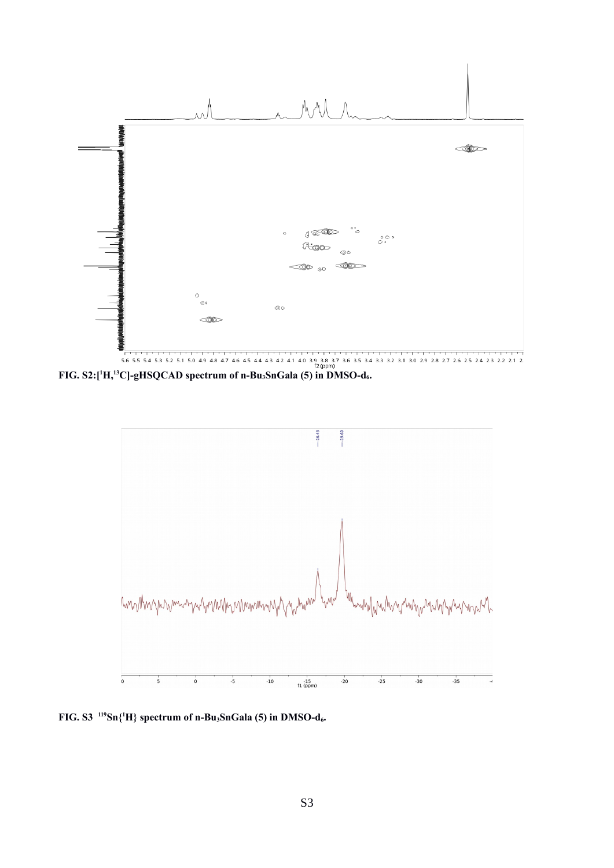

**FIG. S2:**[<sup>1</sup>**H**,<sup>13</sup>**C**]-gHSQCAD spectrum of n-Bu<sub>3</sub>SnGala (5) in DMSO-d<sub>6</sub>.



**FIG. S3 <sup>119</sup>Sn{<sup>1</sup>H} spectrum of n-Bu3SnGala (5) in DMSO-d6.**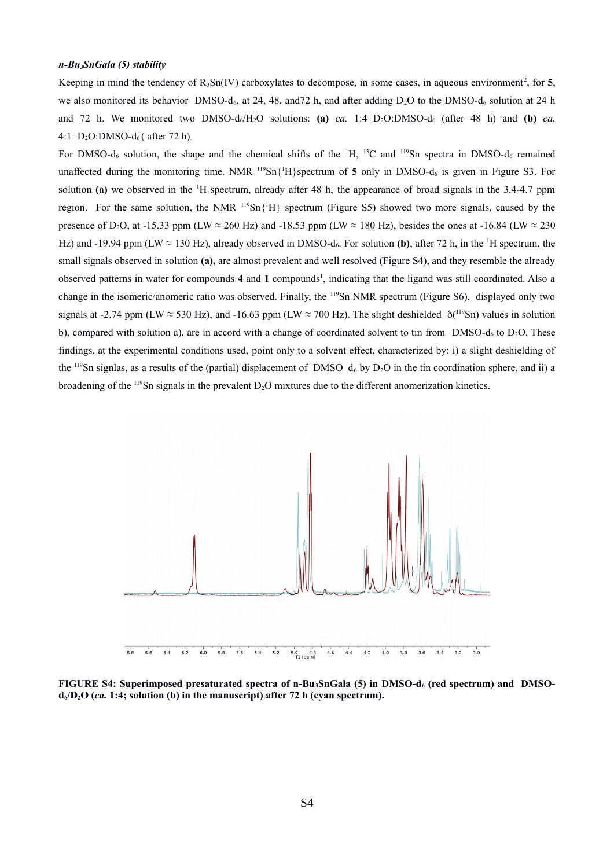## *n-Bu3SnGala (5) stability*

Keeping in mind the tendency of  $R_3Sn(IV)$  carboxylates to decompose, in some cases, in aqueous environment<sup>2</sup>, for 5, we also monitored its behavior DMSO-d<sub>6</sub>, at 24, 48, and 72 h, and after adding  $D_2O$  to the DMSO-d<sub>6</sub> solution at 24 h and 72 h. We monitored two DMSO-d<sub>6</sub>/H<sub>2</sub>O solutions: **(a)** *ca.* 1:4=D<sub>2</sub>O:DMSO-d<sub>6</sub> (after 48 h) and **(b)** *ca.*  $4:1=D_2O:DMSO-d_6$  (after 72 h).

For DMSO- $d_6$  solution, the shape and the chemical shifts of the  $H_1$ , <sup>13</sup>C and <sup>119</sup>Sn spectra in DMSO- $d_6$  remained unaffected during the monitoring time. NMR <sup>119</sup>Sn{<sup>1</sup>H}spectrum of 5 only in DMSO-d<sub>6</sub> is given in Figure S3. For solution **(a)** we observed in the <sup>1</sup>H spectrum, already after 48 h, the appearance of broad signals in the 3.4-4.7 ppm region. For the same solution, the NMR  $^{119}Sn{^1H}$  spectrum (Figure S5) showed two more signals, caused by the presence of D<sub>2</sub>O, at -15.33 ppm (LW ≈ 260 Hz) and -18.53 ppm (LW ≈ 180 Hz), besides the ones at -16.84 (LW ≈ 230 Hz) and -19.94 ppm (LW  $\approx$  130 Hz), already observed in DMSO-d<sub>6</sub>. For solution **(b)**, after 72 h, in the <sup>1</sup>H spectrum, the small signals observed in solution **(a),** are almost prevalent and well resolved (Figure S4), and they resemble the already observed patterns in water for compounds 4 and 1 compounds<sup>1</sup>, indicating that the ligand was still coordinated. Also a change in the isomeric/anomeric ratio was observed. Finally, the <sup>119</sup>Sn NMR spectrum (Figure S6), displayed only two signals at -2.74 ppm (LW  $\approx$  530 Hz), and -16.63 ppm (LW  $\approx$  700 Hz). The slight deshielded  $\delta(^{119}Sn)$  values in solution b), compared with solution a), are in accord with a change of coordinated solvent to tin from DMSO-d<sub>6</sub> to  $D_2O$ . These findings, at the experimental conditions used, point only to a solvent effect, characterized by: i) a slight deshielding of the <sup>119</sup>Sn signlas, as a results of the (partial) displacement of DMSO\_d6 by D2O in the tin coordination sphere, and ii) a broadening of the <sup>119</sup>Sn signals in the prevalent D<sub>2</sub>O mixtures due to the different anomerization kinetics.



**FIGURE S4: Superimposed presaturated spectra of n-Bu3SnGala (5) in DMSO-d6 (red spectrum) and DMSOd6/D2O (***ca.* **1:4; solution (b) in the manuscript) after 72 h (cyan spectrum).**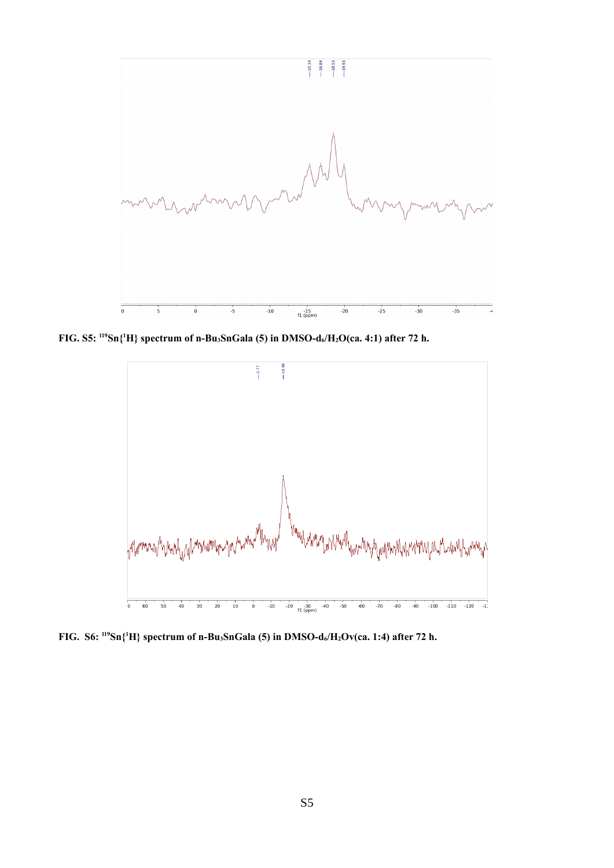

**FIG. S5: <sup>119</sup>Sn{<sup>1</sup>H} spectrum of n-Bu3SnGala (5) in DMSO-d6/H2O(ca. 4:1) after 72 h.**



**FIG. S6: <sup>119</sup>Sn{<sup>1</sup>H} spectrum of n-Bu3SnGala (5) in DMSO-d6/H2Ov(ca. 1:4) after 72 h.**